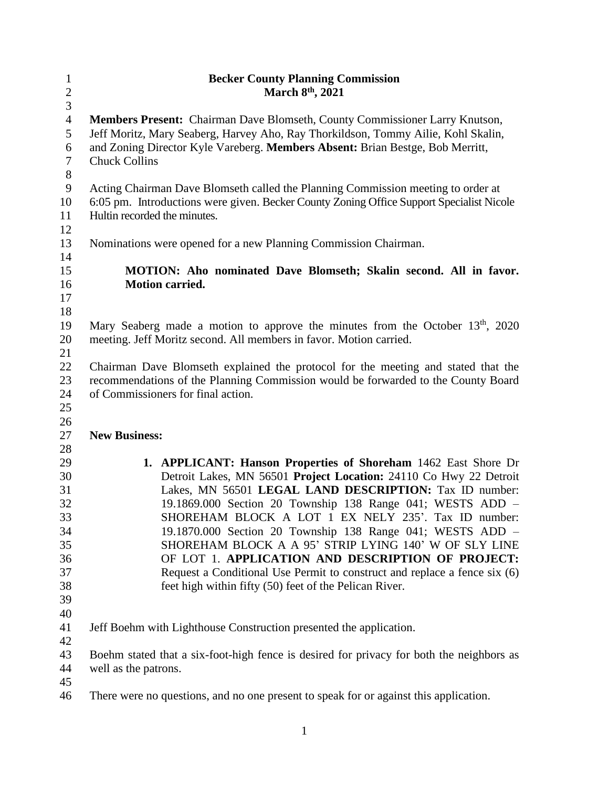| $\mathbf{1}$   | <b>Becker County Planning Commission</b>                                                   |
|----------------|--------------------------------------------------------------------------------------------|
| $\overline{c}$ | March 8th, 2021                                                                            |
| 3              |                                                                                            |
| $\overline{4}$ | Members Present: Chairman Dave Blomseth, County Commissioner Larry Knutson,                |
| 5              | Jeff Moritz, Mary Seaberg, Harvey Aho, Ray Thorkildson, Tommy Ailie, Kohl Skalin,          |
| 6              | and Zoning Director Kyle Vareberg. Members Absent: Brian Bestge, Bob Merritt,              |
| $\tau$         | <b>Chuck Collins</b>                                                                       |
| $8\,$          |                                                                                            |
| $\mathbf{9}$   | Acting Chairman Dave Blomseth called the Planning Commission meeting to order at           |
| 10             | 6:05 pm. Introductions were given. Becker County Zoning Office Support Specialist Nicole   |
| 11             | Hultin recorded the minutes.                                                               |
| 12             |                                                                                            |
| 13             | Nominations were opened for a new Planning Commission Chairman.                            |
| 14             |                                                                                            |
| 15             | <b>MOTION:</b> Aho nominated Dave Blomseth; Skalin second. All in favor.                   |
| 16<br>17       | <b>Motion carried.</b>                                                                     |
| 18             |                                                                                            |
| 19             | Mary Seaberg made a motion to approve the minutes from the October 13 <sup>th</sup> , 2020 |
| 20             | meeting. Jeff Moritz second. All members in favor. Motion carried.                         |
| 21             |                                                                                            |
| 22             | Chairman Dave Blomseth explained the protocol for the meeting and stated that the          |
| 23             | recommendations of the Planning Commission would be forwarded to the County Board          |
| 24             | of Commissioners for final action.                                                         |
| 25             |                                                                                            |
| 26             |                                                                                            |
| 27             | <b>New Business:</b>                                                                       |
| 28             |                                                                                            |
| 29             | 1. APPLICANT: Hanson Properties of Shoreham 1462 East Shore Dr                             |
| 30             | Detroit Lakes, MN 56501 Project Location: 24110 Co Hwy 22 Detroit                          |
| 31             | Lakes, MN 56501 LEGAL LAND DESCRIPTION: Tax ID number:                                     |
| 32             | 19.1869.000 Section 20 Township 138 Range 041; WESTS ADD -                                 |
| 33             | SHOREHAM BLOCK A LOT 1 EX NELY 235'. Tax ID number:                                        |
| 34             | 19.1870.000 Section 20 Township 138 Range 041; WESTS ADD -                                 |
| 35             | SHOREHAM BLOCK A A 95' STRIP LYING 140' W OF SLY LINE                                      |
| 36             | OF LOT 1. APPLICATION AND DESCRIPTION OF PROJECT:                                          |
| 37             | Request a Conditional Use Permit to construct and replace a fence six (6)                  |
| 38             | feet high within fifty (50) feet of the Pelican River.                                     |
| 39             |                                                                                            |
| 40             |                                                                                            |
| 41             | Jeff Boehm with Lighthouse Construction presented the application.                         |
| 42             |                                                                                            |
| 43             | Boehm stated that a six-foot-high fence is desired for privacy for both the neighbors as   |
| 44             | well as the patrons.                                                                       |
| 45             |                                                                                            |
| 46             | There were no questions, and no one present to speak for or against this application.      |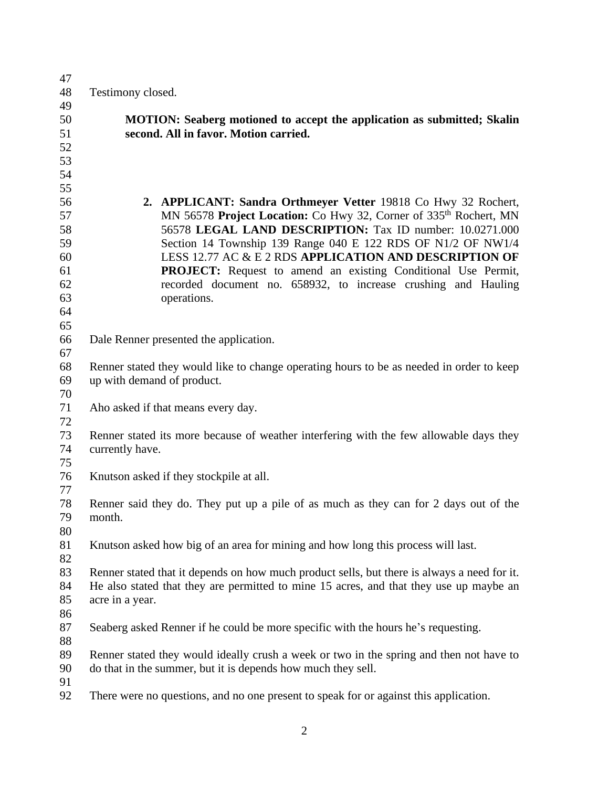| 47       |                                                                                                                                                         |
|----------|---------------------------------------------------------------------------------------------------------------------------------------------------------|
| 48       | Testimony closed.                                                                                                                                       |
| 49       |                                                                                                                                                         |
| 50       | <b>MOTION:</b> Seaberg motioned to accept the application as submitted; Skalin                                                                          |
| 51       | second. All in favor. Motion carried.                                                                                                                   |
| 52       |                                                                                                                                                         |
| 53       |                                                                                                                                                         |
| 54       |                                                                                                                                                         |
| 55       |                                                                                                                                                         |
| 56       | 2. APPLICANT: Sandra Orthmeyer Vetter 19818 Co Hwy 32 Rochert,                                                                                          |
| 57       | MN 56578 Project Location: Co Hwy 32, Corner of 335 <sup>th</sup> Rochert, MN                                                                           |
| 58       | 56578 LEGAL LAND DESCRIPTION: Tax ID number: 10.0271.000                                                                                                |
| 59       | Section 14 Township 139 Range 040 E 122 RDS OF N1/2 OF NW1/4                                                                                            |
| 60       | LESS 12.77 AC & E 2 RDS APPLICATION AND DESCRIPTION OF                                                                                                  |
| 61       | <b>PROJECT:</b> Request to amend an existing Conditional Use Permit,                                                                                    |
| 62       | recorded document no. 658932, to increase crushing and Hauling                                                                                          |
| 63       | operations.                                                                                                                                             |
| 64       |                                                                                                                                                         |
| 65       |                                                                                                                                                         |
| 66       | Dale Renner presented the application.                                                                                                                  |
| 67       |                                                                                                                                                         |
| 68       | Renner stated they would like to change operating hours to be as needed in order to keep                                                                |
| 69       | up with demand of product.                                                                                                                              |
| 70       |                                                                                                                                                         |
| 71       | Aho asked if that means every day.                                                                                                                      |
| 72       |                                                                                                                                                         |
| 73       | Renner stated its more because of weather interfering with the few allowable days they                                                                  |
| 74       | currently have.                                                                                                                                         |
| 75       |                                                                                                                                                         |
| 76       | Knutson asked if they stockpile at all.                                                                                                                 |
| 77       |                                                                                                                                                         |
| 78       | Renner said they do. They put up a pile of as much as they can for 2 days out of the                                                                    |
| 79       | month.                                                                                                                                                  |
| 80       |                                                                                                                                                         |
| 81       | Knutson asked how big of an area for mining and how long this process will last.                                                                        |
| 82       |                                                                                                                                                         |
| 83       | Renner stated that it depends on how much product sells, but there is always a need for it.                                                             |
| 84       | He also stated that they are permitted to mine 15 acres, and that they use up maybe an                                                                  |
| 85       | acre in a year.                                                                                                                                         |
| 86       |                                                                                                                                                         |
| 87       | Seaberg asked Renner if he could be more specific with the hours he's requesting.                                                                       |
| 88       |                                                                                                                                                         |
| 89<br>90 | Renner stated they would ideally crush a week or two in the spring and then not have to<br>do that in the summer, but it is depends how much they sell. |
| 91       |                                                                                                                                                         |
| 92       | There were no questions, and no one present to speak for or against this application.                                                                   |
|          |                                                                                                                                                         |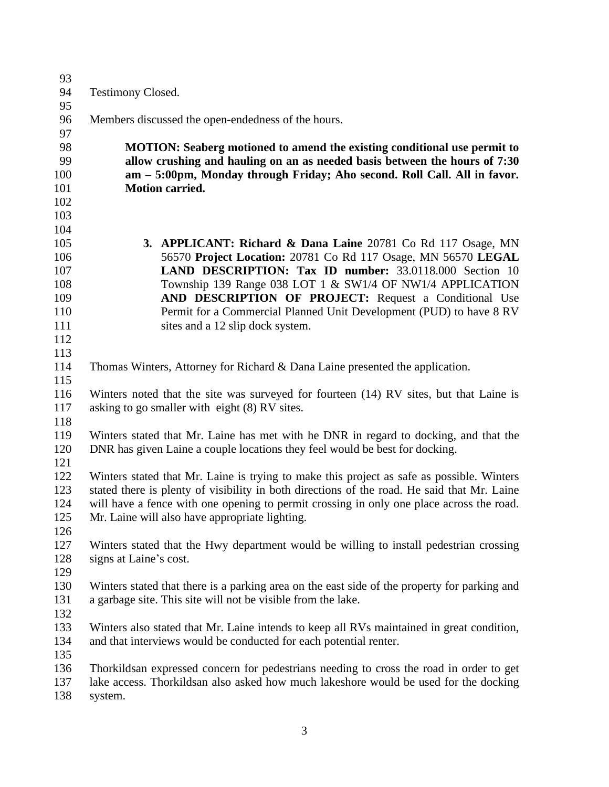| 93  |                                                                                              |
|-----|----------------------------------------------------------------------------------------------|
| 94  | <b>Testimony Closed.</b>                                                                     |
| 95  |                                                                                              |
| 96  | Members discussed the open-endedness of the hours.                                           |
| 97  |                                                                                              |
| 98  | <b>MOTION:</b> Seaberg motioned to amend the existing conditional use permit to              |
| 99  | allow crushing and hauling on an as needed basis between the hours of 7:30                   |
| 100 | am - 5:00pm, Monday through Friday; Aho second. Roll Call. All in favor.                     |
| 101 | <b>Motion carried.</b>                                                                       |
| 102 |                                                                                              |
| 103 |                                                                                              |
| 104 |                                                                                              |
| 105 | <b>3. APPLICANT: Richard &amp; Dana Laine</b> 20781 Co Rd 117 Osage, MN                      |
| 106 | 56570 Project Location: 20781 Co Rd 117 Osage, MN 56570 LEGAL                                |
| 107 | LAND DESCRIPTION: Tax ID number: 33.0118.000 Section 10                                      |
| 108 | Township 139 Range 038 LOT 1 & SW1/4 OF NW1/4 APPLICATION                                    |
| 109 | AND DESCRIPTION OF PROJECT: Request a Conditional Use                                        |
| 110 | Permit for a Commercial Planned Unit Development (PUD) to have 8 RV                          |
| 111 | sites and a 12 slip dock system.                                                             |
| 112 |                                                                                              |
| 113 |                                                                                              |
| 114 | Thomas Winters, Attorney for Richard & Dana Laine presented the application.                 |
| 115 |                                                                                              |
| 116 | Winters noted that the site was surveyed for fourteen (14) RV sites, but that Laine is       |
| 117 | asking to go smaller with eight (8) RV sites.                                                |
| 118 |                                                                                              |
| 119 | Winters stated that Mr. Laine has met with he DNR in regard to docking, and that the         |
| 120 | DNR has given Laine a couple locations they feel would be best for docking.                  |
| 121 |                                                                                              |
| 122 | Winters stated that Mr. Laine is trying to make this project as safe as possible. Winters    |
| 123 | stated there is plenty of visibility in both directions of the road. He said that Mr. Laine  |
| 124 | will have a fence with one opening to permit crossing in only one place across the road.     |
| 125 | Mr. Laine will also have appropriate lighting.                                               |
| 126 |                                                                                              |
| 127 | Winters stated that the Hwy department would be willing to install pedestrian crossing       |
| 128 | signs at Laine's cost.                                                                       |
| 129 |                                                                                              |
| 130 | Winters stated that there is a parking area on the east side of the property for parking and |
| 131 | a garbage site. This site will not be visible from the lake.                                 |
| 132 |                                                                                              |
| 133 | Winters also stated that Mr. Laine intends to keep all RVs maintained in great condition,    |
| 134 | and that interviews would be conducted for each potential renter.                            |
| 135 |                                                                                              |
| 136 | Thorkildsan expressed concern for pedestrians needing to cross the road in order to get      |
| 137 | lake access. Thorkildsan also asked how much lakeshore would be used for the docking         |
| 138 | system.                                                                                      |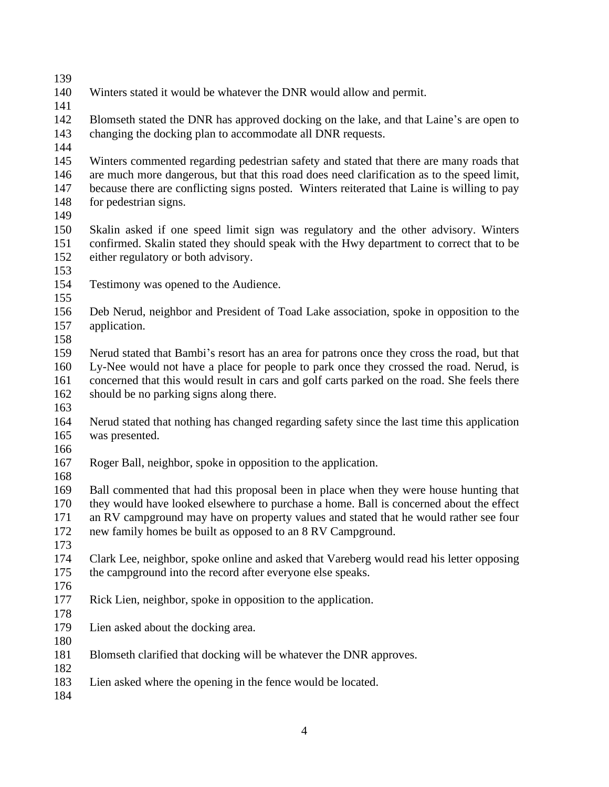- Winters stated it would be whatever the DNR would allow and permit.
- 

 Blomseth stated the DNR has approved docking on the lake, and that Laine's are open to changing the docking plan to accommodate all DNR requests.

 Winters commented regarding pedestrian safety and stated that there are many roads that are much more dangerous, but that this road does need clarification as to the speed limit, because there are conflicting signs posted. Winters reiterated that Laine is willing to pay for pedestrian signs.

 Skalin asked if one speed limit sign was regulatory and the other advisory. Winters confirmed. Skalin stated they should speak with the Hwy department to correct that to be either regulatory or both advisory.

- 
- Testimony was opened to the Audience.
- 

 Deb Nerud, neighbor and President of Toad Lake association, spoke in opposition to the application.

 Nerud stated that Bambi's resort has an area for patrons once they cross the road, but that Ly-Nee would not have a place for people to park once they crossed the road. Nerud, is concerned that this would result in cars and golf carts parked on the road. She feels there should be no parking signs along there.

 Nerud stated that nothing has changed regarding safety since the last time this application was presented.

- 
- Roger Ball, neighbor, spoke in opposition to the application.
- 

 Ball commented that had this proposal been in place when they were house hunting that they would have looked elsewhere to purchase a home. Ball is concerned about the effect an RV campground may have on property values and stated that he would rather see four new family homes be built as opposed to an 8 RV Campground.

 Clark Lee, neighbor, spoke online and asked that Vareberg would read his letter opposing the campground into the record after everyone else speaks.

- Rick Lien, neighbor, spoke in opposition to the application.
- 

- Lien asked about the docking area.
- 
- Blomseth clarified that docking will be whatever the DNR approves.
- Lien asked where the opening in the fence would be located.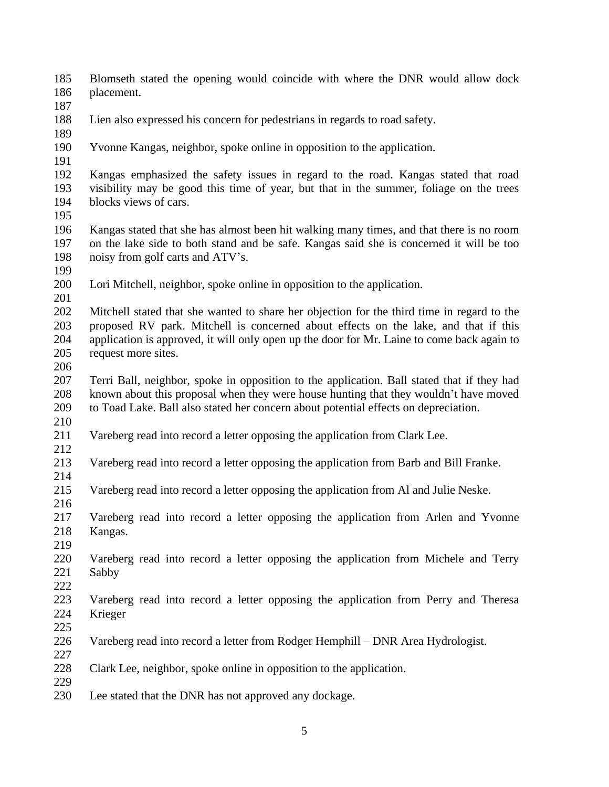Blomseth stated the opening would coincide with where the DNR would allow dock placement.

- 
- Lien also expressed his concern for pedestrians in regards to road safety.
- 
- Yvonne Kangas, neighbor, spoke online in opposition to the application.
- 

 Kangas emphasized the safety issues in regard to the road. Kangas stated that road visibility may be good this time of year, but that in the summer, foliage on the trees blocks views of cars.

 Kangas stated that she has almost been hit walking many times, and that there is no room on the lake side to both stand and be safe. Kangas said she is concerned it will be too noisy from golf carts and ATV's.

- 
- Lori Mitchell, neighbor, spoke online in opposition to the application.
- 

 Mitchell stated that she wanted to share her objection for the third time in regard to the proposed RV park. Mitchell is concerned about effects on the lake, and that if this application is approved, it will only open up the door for Mr. Laine to come back again to request more sites.

 Terri Ball, neighbor, spoke in opposition to the application. Ball stated that if they had known about this proposal when they were house hunting that they wouldn't have moved to Toad Lake. Ball also stated her concern about potential effects on depreciation. 

- Vareberg read into record a letter opposing the application from Clark Lee.
- 

Vareberg read into record a letter opposing the application from Barb and Bill Franke.

Vareberg read into record a letter opposing the application from Al and Julie Neske.

 Vareberg read into record a letter opposing the application from Arlen and Yvonne Kangas.

 Vareberg read into record a letter opposing the application from Michele and Terry Sabby

 Vareberg read into record a letter opposing the application from Perry and Theresa Krieger

Vareberg read into record a letter from Rodger Hemphill – DNR Area Hydrologist.

- Clark Lee, neighbor, spoke online in opposition to the application.
- 

Lee stated that the DNR has not approved any dockage.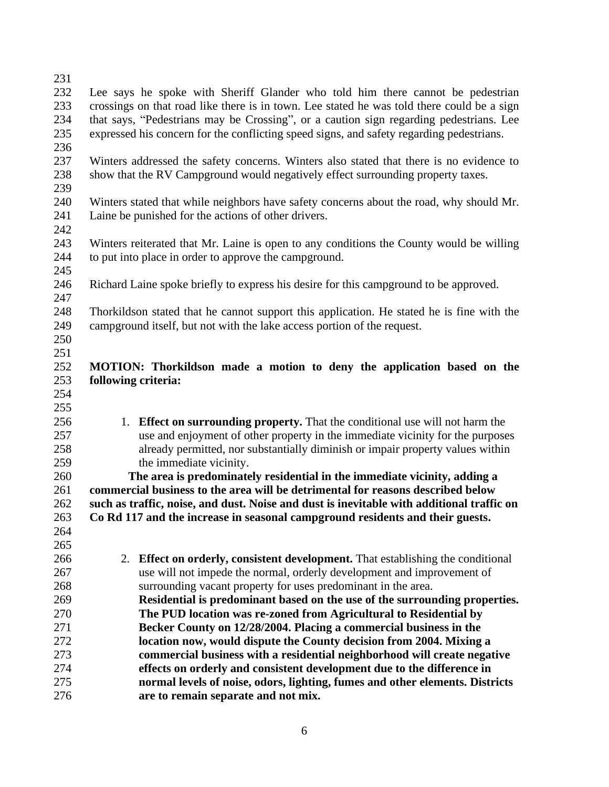| 231 |                                                                                            |
|-----|--------------------------------------------------------------------------------------------|
| 232 | Lee says he spoke with Sheriff Glander who told him there cannot be pedestrian             |
| 233 | crossings on that road like there is in town. Lee stated he was told there could be a sign |
|     |                                                                                            |
| 234 | that says, "Pedestrians may be Crossing", or a caution sign regarding pedestrians. Lee     |
| 235 | expressed his concern for the conflicting speed signs, and safety regarding pedestrians.   |
| 236 |                                                                                            |
| 237 | Winters addressed the safety concerns. Winters also stated that there is no evidence to    |
| 238 | show that the RV Campground would negatively effect surrounding property taxes.            |
| 239 |                                                                                            |
| 240 | Winters stated that while neighbors have safety concerns about the road, why should Mr.    |
| 241 | Laine be punished for the actions of other drivers.                                        |
| 242 |                                                                                            |
| 243 | Winters reiterated that Mr. Laine is open to any conditions the County would be willing    |
| 244 | to put into place in order to approve the campground.                                      |
| 245 |                                                                                            |
| 246 | Richard Laine spoke briefly to express his desire for this campground to be approved.      |
| 247 |                                                                                            |
| 248 | Thorkildson stated that he cannot support this application. He stated he is fine with the  |
| 249 | campground itself, but not with the lake access portion of the request.                    |
| 250 |                                                                                            |
| 251 |                                                                                            |
| 252 | MOTION: Thorkildson made a motion to deny the application based on the                     |
| 253 | following criteria:                                                                        |
| 254 |                                                                                            |
| 255 |                                                                                            |
| 256 | 1. Effect on surrounding property. That the conditional use will not harm the              |
| 257 | use and enjoyment of other property in the immediate vicinity for the purposes             |
| 258 | already permitted, nor substantially diminish or impair property values within             |
| 259 | the immediate vicinity.                                                                    |
| 260 | The area is predominately residential in the immediate vicinity, adding a                  |
| 261 | commercial business to the area will be detrimental for reasons described below            |
| 262 | such as traffic, noise, and dust. Noise and dust is inevitable with additional traffic on  |
| 263 | Co Rd 117 and the increase in seasonal campground residents and their guests.              |
| 264 |                                                                                            |
| 265 |                                                                                            |
| 266 | 2. Effect on orderly, consistent development. That establishing the conditional            |
| 267 | use will not impede the normal, orderly development and improvement of                     |
| 268 | surrounding vacant property for uses predominant in the area.                              |
| 269 | Residential is predominant based on the use of the surrounding properties.                 |
| 270 | The PUD location was re-zoned from Agricultural to Residential by                          |
| 271 | Becker County on 12/28/2004. Placing a commercial business in the                          |
| 272 | location now, would dispute the County decision from 2004. Mixing a                        |
| 273 | commercial business with a residential neighborhood will create negative                   |
| 274 | effects on orderly and consistent development due to the difference in                     |
| 275 | normal levels of noise, odors, lighting, fumes and other elements. Districts               |
| 276 | are to remain separate and not mix.                                                        |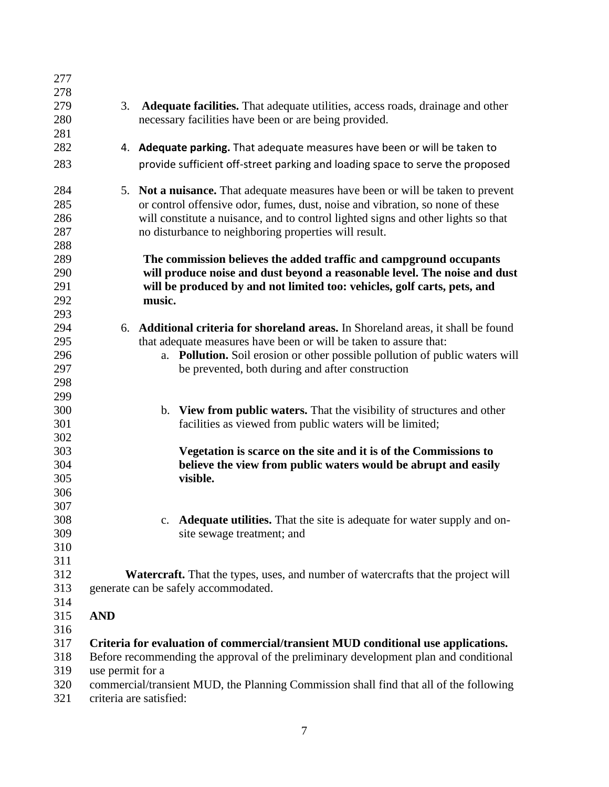| 278<br>279<br>Adequate facilities. That adequate utilities, access roads, drainage and other<br>3.<br>280<br>necessary facilities have been or are being provided.<br>281<br>282<br>4. Adequate parking. That adequate measures have been or will be taken to<br>283<br>provide sufficient off-street parking and loading space to serve the proposed<br>284<br>5. Not a nuisance. That adequate measures have been or will be taken to prevent<br>285<br>or control offensive odor, fumes, dust, noise and vibration, so none of these<br>286<br>will constitute a nuisance, and to control lighted signs and other lights so that<br>287<br>no disturbance to neighboring properties will result.<br>288<br>289<br>The commission believes the added traffic and campground occupants<br>290<br>will produce noise and dust beyond a reasonable level. The noise and dust<br>291<br>will be produced by and not limited too: vehicles, golf carts, pets, and<br>292<br>music.<br>293<br>294<br>6. Additional criteria for shoreland areas. In Shoreland areas, it shall be found<br>295<br>that adequate measures have been or will be taken to assure that:<br>296<br>a. Pollution. Soil erosion or other possible pollution of public waters will<br>297<br>be prevented, both during and after construction<br>298<br>299<br>300<br>b. View from public waters. That the visibility of structures and other<br>301<br>facilities as viewed from public waters will be limited;<br>302<br>303<br>Vegetation is scarce on the site and it is of the Commissions to<br>304<br>believe the view from public waters would be abrupt and easily<br>305<br>visible.<br>306<br>307<br>308<br>c. <b>Adequate utilities.</b> That the site is adequate for water supply and on-<br>309<br>site sewage treatment; and<br>310<br>311<br>312<br><b>Watercraft.</b> That the types, uses, and number of watercrafts that the project will<br>313<br>generate can be safely accommodated.<br>314<br>315<br><b>AND</b><br>316<br>317<br>Criteria for evaluation of commercial/transient MUD conditional use applications.<br>318<br>Before recommending the approval of the preliminary development plan and conditional<br>319<br>use permit for a<br>320<br>commercial/transient MUD, the Planning Commission shall find that all of the following<br>criteria are satisfied: | 277 |  |
|----------------------------------------------------------------------------------------------------------------------------------------------------------------------------------------------------------------------------------------------------------------------------------------------------------------------------------------------------------------------------------------------------------------------------------------------------------------------------------------------------------------------------------------------------------------------------------------------------------------------------------------------------------------------------------------------------------------------------------------------------------------------------------------------------------------------------------------------------------------------------------------------------------------------------------------------------------------------------------------------------------------------------------------------------------------------------------------------------------------------------------------------------------------------------------------------------------------------------------------------------------------------------------------------------------------------------------------------------------------------------------------------------------------------------------------------------------------------------------------------------------------------------------------------------------------------------------------------------------------------------------------------------------------------------------------------------------------------------------------------------------------------------------------------------------------------------------------------------------------------------------------------------------------------------------------------------------------------------------------------------------------------------------------------------------------------------------------------------------------------------------------------------------------------------------------------------------------------------------------------------------------------------------------------------------------------------------------------------------------------|-----|--|
|                                                                                                                                                                                                                                                                                                                                                                                                                                                                                                                                                                                                                                                                                                                                                                                                                                                                                                                                                                                                                                                                                                                                                                                                                                                                                                                                                                                                                                                                                                                                                                                                                                                                                                                                                                                                                                                                                                                                                                                                                                                                                                                                                                                                                                                                                                                                                                      |     |  |
|                                                                                                                                                                                                                                                                                                                                                                                                                                                                                                                                                                                                                                                                                                                                                                                                                                                                                                                                                                                                                                                                                                                                                                                                                                                                                                                                                                                                                                                                                                                                                                                                                                                                                                                                                                                                                                                                                                                                                                                                                                                                                                                                                                                                                                                                                                                                                                      |     |  |
|                                                                                                                                                                                                                                                                                                                                                                                                                                                                                                                                                                                                                                                                                                                                                                                                                                                                                                                                                                                                                                                                                                                                                                                                                                                                                                                                                                                                                                                                                                                                                                                                                                                                                                                                                                                                                                                                                                                                                                                                                                                                                                                                                                                                                                                                                                                                                                      |     |  |
|                                                                                                                                                                                                                                                                                                                                                                                                                                                                                                                                                                                                                                                                                                                                                                                                                                                                                                                                                                                                                                                                                                                                                                                                                                                                                                                                                                                                                                                                                                                                                                                                                                                                                                                                                                                                                                                                                                                                                                                                                                                                                                                                                                                                                                                                                                                                                                      |     |  |
|                                                                                                                                                                                                                                                                                                                                                                                                                                                                                                                                                                                                                                                                                                                                                                                                                                                                                                                                                                                                                                                                                                                                                                                                                                                                                                                                                                                                                                                                                                                                                                                                                                                                                                                                                                                                                                                                                                                                                                                                                                                                                                                                                                                                                                                                                                                                                                      |     |  |
|                                                                                                                                                                                                                                                                                                                                                                                                                                                                                                                                                                                                                                                                                                                                                                                                                                                                                                                                                                                                                                                                                                                                                                                                                                                                                                                                                                                                                                                                                                                                                                                                                                                                                                                                                                                                                                                                                                                                                                                                                                                                                                                                                                                                                                                                                                                                                                      |     |  |
|                                                                                                                                                                                                                                                                                                                                                                                                                                                                                                                                                                                                                                                                                                                                                                                                                                                                                                                                                                                                                                                                                                                                                                                                                                                                                                                                                                                                                                                                                                                                                                                                                                                                                                                                                                                                                                                                                                                                                                                                                                                                                                                                                                                                                                                                                                                                                                      |     |  |
|                                                                                                                                                                                                                                                                                                                                                                                                                                                                                                                                                                                                                                                                                                                                                                                                                                                                                                                                                                                                                                                                                                                                                                                                                                                                                                                                                                                                                                                                                                                                                                                                                                                                                                                                                                                                                                                                                                                                                                                                                                                                                                                                                                                                                                                                                                                                                                      |     |  |
|                                                                                                                                                                                                                                                                                                                                                                                                                                                                                                                                                                                                                                                                                                                                                                                                                                                                                                                                                                                                                                                                                                                                                                                                                                                                                                                                                                                                                                                                                                                                                                                                                                                                                                                                                                                                                                                                                                                                                                                                                                                                                                                                                                                                                                                                                                                                                                      |     |  |
|                                                                                                                                                                                                                                                                                                                                                                                                                                                                                                                                                                                                                                                                                                                                                                                                                                                                                                                                                                                                                                                                                                                                                                                                                                                                                                                                                                                                                                                                                                                                                                                                                                                                                                                                                                                                                                                                                                                                                                                                                                                                                                                                                                                                                                                                                                                                                                      |     |  |
|                                                                                                                                                                                                                                                                                                                                                                                                                                                                                                                                                                                                                                                                                                                                                                                                                                                                                                                                                                                                                                                                                                                                                                                                                                                                                                                                                                                                                                                                                                                                                                                                                                                                                                                                                                                                                                                                                                                                                                                                                                                                                                                                                                                                                                                                                                                                                                      |     |  |
|                                                                                                                                                                                                                                                                                                                                                                                                                                                                                                                                                                                                                                                                                                                                                                                                                                                                                                                                                                                                                                                                                                                                                                                                                                                                                                                                                                                                                                                                                                                                                                                                                                                                                                                                                                                                                                                                                                                                                                                                                                                                                                                                                                                                                                                                                                                                                                      |     |  |
|                                                                                                                                                                                                                                                                                                                                                                                                                                                                                                                                                                                                                                                                                                                                                                                                                                                                                                                                                                                                                                                                                                                                                                                                                                                                                                                                                                                                                                                                                                                                                                                                                                                                                                                                                                                                                                                                                                                                                                                                                                                                                                                                                                                                                                                                                                                                                                      |     |  |
|                                                                                                                                                                                                                                                                                                                                                                                                                                                                                                                                                                                                                                                                                                                                                                                                                                                                                                                                                                                                                                                                                                                                                                                                                                                                                                                                                                                                                                                                                                                                                                                                                                                                                                                                                                                                                                                                                                                                                                                                                                                                                                                                                                                                                                                                                                                                                                      |     |  |
|                                                                                                                                                                                                                                                                                                                                                                                                                                                                                                                                                                                                                                                                                                                                                                                                                                                                                                                                                                                                                                                                                                                                                                                                                                                                                                                                                                                                                                                                                                                                                                                                                                                                                                                                                                                                                                                                                                                                                                                                                                                                                                                                                                                                                                                                                                                                                                      |     |  |
|                                                                                                                                                                                                                                                                                                                                                                                                                                                                                                                                                                                                                                                                                                                                                                                                                                                                                                                                                                                                                                                                                                                                                                                                                                                                                                                                                                                                                                                                                                                                                                                                                                                                                                                                                                                                                                                                                                                                                                                                                                                                                                                                                                                                                                                                                                                                                                      |     |  |
|                                                                                                                                                                                                                                                                                                                                                                                                                                                                                                                                                                                                                                                                                                                                                                                                                                                                                                                                                                                                                                                                                                                                                                                                                                                                                                                                                                                                                                                                                                                                                                                                                                                                                                                                                                                                                                                                                                                                                                                                                                                                                                                                                                                                                                                                                                                                                                      |     |  |
|                                                                                                                                                                                                                                                                                                                                                                                                                                                                                                                                                                                                                                                                                                                                                                                                                                                                                                                                                                                                                                                                                                                                                                                                                                                                                                                                                                                                                                                                                                                                                                                                                                                                                                                                                                                                                                                                                                                                                                                                                                                                                                                                                                                                                                                                                                                                                                      |     |  |
|                                                                                                                                                                                                                                                                                                                                                                                                                                                                                                                                                                                                                                                                                                                                                                                                                                                                                                                                                                                                                                                                                                                                                                                                                                                                                                                                                                                                                                                                                                                                                                                                                                                                                                                                                                                                                                                                                                                                                                                                                                                                                                                                                                                                                                                                                                                                                                      |     |  |
|                                                                                                                                                                                                                                                                                                                                                                                                                                                                                                                                                                                                                                                                                                                                                                                                                                                                                                                                                                                                                                                                                                                                                                                                                                                                                                                                                                                                                                                                                                                                                                                                                                                                                                                                                                                                                                                                                                                                                                                                                                                                                                                                                                                                                                                                                                                                                                      |     |  |
|                                                                                                                                                                                                                                                                                                                                                                                                                                                                                                                                                                                                                                                                                                                                                                                                                                                                                                                                                                                                                                                                                                                                                                                                                                                                                                                                                                                                                                                                                                                                                                                                                                                                                                                                                                                                                                                                                                                                                                                                                                                                                                                                                                                                                                                                                                                                                                      |     |  |
|                                                                                                                                                                                                                                                                                                                                                                                                                                                                                                                                                                                                                                                                                                                                                                                                                                                                                                                                                                                                                                                                                                                                                                                                                                                                                                                                                                                                                                                                                                                                                                                                                                                                                                                                                                                                                                                                                                                                                                                                                                                                                                                                                                                                                                                                                                                                                                      |     |  |
|                                                                                                                                                                                                                                                                                                                                                                                                                                                                                                                                                                                                                                                                                                                                                                                                                                                                                                                                                                                                                                                                                                                                                                                                                                                                                                                                                                                                                                                                                                                                                                                                                                                                                                                                                                                                                                                                                                                                                                                                                                                                                                                                                                                                                                                                                                                                                                      |     |  |
|                                                                                                                                                                                                                                                                                                                                                                                                                                                                                                                                                                                                                                                                                                                                                                                                                                                                                                                                                                                                                                                                                                                                                                                                                                                                                                                                                                                                                                                                                                                                                                                                                                                                                                                                                                                                                                                                                                                                                                                                                                                                                                                                                                                                                                                                                                                                                                      |     |  |
|                                                                                                                                                                                                                                                                                                                                                                                                                                                                                                                                                                                                                                                                                                                                                                                                                                                                                                                                                                                                                                                                                                                                                                                                                                                                                                                                                                                                                                                                                                                                                                                                                                                                                                                                                                                                                                                                                                                                                                                                                                                                                                                                                                                                                                                                                                                                                                      |     |  |
|                                                                                                                                                                                                                                                                                                                                                                                                                                                                                                                                                                                                                                                                                                                                                                                                                                                                                                                                                                                                                                                                                                                                                                                                                                                                                                                                                                                                                                                                                                                                                                                                                                                                                                                                                                                                                                                                                                                                                                                                                                                                                                                                                                                                                                                                                                                                                                      |     |  |
|                                                                                                                                                                                                                                                                                                                                                                                                                                                                                                                                                                                                                                                                                                                                                                                                                                                                                                                                                                                                                                                                                                                                                                                                                                                                                                                                                                                                                                                                                                                                                                                                                                                                                                                                                                                                                                                                                                                                                                                                                                                                                                                                                                                                                                                                                                                                                                      |     |  |
|                                                                                                                                                                                                                                                                                                                                                                                                                                                                                                                                                                                                                                                                                                                                                                                                                                                                                                                                                                                                                                                                                                                                                                                                                                                                                                                                                                                                                                                                                                                                                                                                                                                                                                                                                                                                                                                                                                                                                                                                                                                                                                                                                                                                                                                                                                                                                                      |     |  |
|                                                                                                                                                                                                                                                                                                                                                                                                                                                                                                                                                                                                                                                                                                                                                                                                                                                                                                                                                                                                                                                                                                                                                                                                                                                                                                                                                                                                                                                                                                                                                                                                                                                                                                                                                                                                                                                                                                                                                                                                                                                                                                                                                                                                                                                                                                                                                                      |     |  |
|                                                                                                                                                                                                                                                                                                                                                                                                                                                                                                                                                                                                                                                                                                                                                                                                                                                                                                                                                                                                                                                                                                                                                                                                                                                                                                                                                                                                                                                                                                                                                                                                                                                                                                                                                                                                                                                                                                                                                                                                                                                                                                                                                                                                                                                                                                                                                                      |     |  |
|                                                                                                                                                                                                                                                                                                                                                                                                                                                                                                                                                                                                                                                                                                                                                                                                                                                                                                                                                                                                                                                                                                                                                                                                                                                                                                                                                                                                                                                                                                                                                                                                                                                                                                                                                                                                                                                                                                                                                                                                                                                                                                                                                                                                                                                                                                                                                                      |     |  |
|                                                                                                                                                                                                                                                                                                                                                                                                                                                                                                                                                                                                                                                                                                                                                                                                                                                                                                                                                                                                                                                                                                                                                                                                                                                                                                                                                                                                                                                                                                                                                                                                                                                                                                                                                                                                                                                                                                                                                                                                                                                                                                                                                                                                                                                                                                                                                                      |     |  |
|                                                                                                                                                                                                                                                                                                                                                                                                                                                                                                                                                                                                                                                                                                                                                                                                                                                                                                                                                                                                                                                                                                                                                                                                                                                                                                                                                                                                                                                                                                                                                                                                                                                                                                                                                                                                                                                                                                                                                                                                                                                                                                                                                                                                                                                                                                                                                                      |     |  |
|                                                                                                                                                                                                                                                                                                                                                                                                                                                                                                                                                                                                                                                                                                                                                                                                                                                                                                                                                                                                                                                                                                                                                                                                                                                                                                                                                                                                                                                                                                                                                                                                                                                                                                                                                                                                                                                                                                                                                                                                                                                                                                                                                                                                                                                                                                                                                                      |     |  |
|                                                                                                                                                                                                                                                                                                                                                                                                                                                                                                                                                                                                                                                                                                                                                                                                                                                                                                                                                                                                                                                                                                                                                                                                                                                                                                                                                                                                                                                                                                                                                                                                                                                                                                                                                                                                                                                                                                                                                                                                                                                                                                                                                                                                                                                                                                                                                                      |     |  |
|                                                                                                                                                                                                                                                                                                                                                                                                                                                                                                                                                                                                                                                                                                                                                                                                                                                                                                                                                                                                                                                                                                                                                                                                                                                                                                                                                                                                                                                                                                                                                                                                                                                                                                                                                                                                                                                                                                                                                                                                                                                                                                                                                                                                                                                                                                                                                                      |     |  |
|                                                                                                                                                                                                                                                                                                                                                                                                                                                                                                                                                                                                                                                                                                                                                                                                                                                                                                                                                                                                                                                                                                                                                                                                                                                                                                                                                                                                                                                                                                                                                                                                                                                                                                                                                                                                                                                                                                                                                                                                                                                                                                                                                                                                                                                                                                                                                                      |     |  |
|                                                                                                                                                                                                                                                                                                                                                                                                                                                                                                                                                                                                                                                                                                                                                                                                                                                                                                                                                                                                                                                                                                                                                                                                                                                                                                                                                                                                                                                                                                                                                                                                                                                                                                                                                                                                                                                                                                                                                                                                                                                                                                                                                                                                                                                                                                                                                                      |     |  |
|                                                                                                                                                                                                                                                                                                                                                                                                                                                                                                                                                                                                                                                                                                                                                                                                                                                                                                                                                                                                                                                                                                                                                                                                                                                                                                                                                                                                                                                                                                                                                                                                                                                                                                                                                                                                                                                                                                                                                                                                                                                                                                                                                                                                                                                                                                                                                                      |     |  |
|                                                                                                                                                                                                                                                                                                                                                                                                                                                                                                                                                                                                                                                                                                                                                                                                                                                                                                                                                                                                                                                                                                                                                                                                                                                                                                                                                                                                                                                                                                                                                                                                                                                                                                                                                                                                                                                                                                                                                                                                                                                                                                                                                                                                                                                                                                                                                                      |     |  |
|                                                                                                                                                                                                                                                                                                                                                                                                                                                                                                                                                                                                                                                                                                                                                                                                                                                                                                                                                                                                                                                                                                                                                                                                                                                                                                                                                                                                                                                                                                                                                                                                                                                                                                                                                                                                                                                                                                                                                                                                                                                                                                                                                                                                                                                                                                                                                                      |     |  |
|                                                                                                                                                                                                                                                                                                                                                                                                                                                                                                                                                                                                                                                                                                                                                                                                                                                                                                                                                                                                                                                                                                                                                                                                                                                                                                                                                                                                                                                                                                                                                                                                                                                                                                                                                                                                                                                                                                                                                                                                                                                                                                                                                                                                                                                                                                                                                                      |     |  |
|                                                                                                                                                                                                                                                                                                                                                                                                                                                                                                                                                                                                                                                                                                                                                                                                                                                                                                                                                                                                                                                                                                                                                                                                                                                                                                                                                                                                                                                                                                                                                                                                                                                                                                                                                                                                                                                                                                                                                                                                                                                                                                                                                                                                                                                                                                                                                                      |     |  |
|                                                                                                                                                                                                                                                                                                                                                                                                                                                                                                                                                                                                                                                                                                                                                                                                                                                                                                                                                                                                                                                                                                                                                                                                                                                                                                                                                                                                                                                                                                                                                                                                                                                                                                                                                                                                                                                                                                                                                                                                                                                                                                                                                                                                                                                                                                                                                                      |     |  |
|                                                                                                                                                                                                                                                                                                                                                                                                                                                                                                                                                                                                                                                                                                                                                                                                                                                                                                                                                                                                                                                                                                                                                                                                                                                                                                                                                                                                                                                                                                                                                                                                                                                                                                                                                                                                                                                                                                                                                                                                                                                                                                                                                                                                                                                                                                                                                                      |     |  |
|                                                                                                                                                                                                                                                                                                                                                                                                                                                                                                                                                                                                                                                                                                                                                                                                                                                                                                                                                                                                                                                                                                                                                                                                                                                                                                                                                                                                                                                                                                                                                                                                                                                                                                                                                                                                                                                                                                                                                                                                                                                                                                                                                                                                                                                                                                                                                                      | 321 |  |